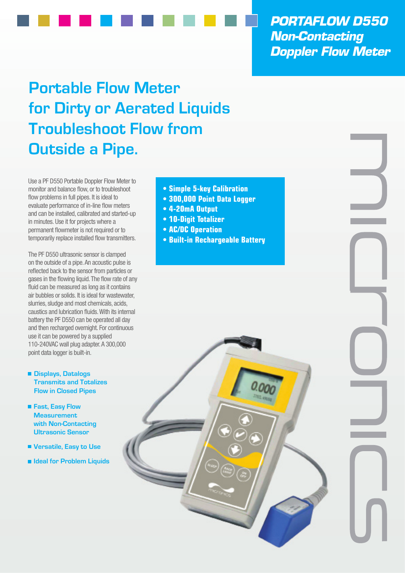*PORTAFLOW D550 Non-Contacting Doppler Flow Meter*

## **Portable Flow Meter for Dirty or Aerated Liquids Troubleshoot Flow from Outside a Pipe.**

Use a PF D550 Portable Doppler Flow Meter to monitor and balance flow, or to troubleshoot flow problems in full pipes. It is ideal to evaluate performance of in-line flow meters and can be installed, calibrated and started-up in minutes. Use it for projects where a permanent flowmeter is not required or to temporarily replace installed flow transmitters.

The PF D550 ultrasonic sensor is clamped on the outside of a pipe. An acoustic pulse is reflected back to the sensor from particles or gases in the flowing liquid. The flow rate of any fluid can be measured as long as it contains air bubbles or solids. It is ideal for wastewater, slurries, sludge and most chemicals, acids, caustics and lubrication fluids. With its internal battery the PF D550 can be operated all day and then recharged overnight. For continuous use it can be powered by a supplied 110-240VAC wall plug adapter. A 300,000 point data logger is built-in.

- **Displays, Datalogs Transmits and Totalizes Flow in Closed Pipes**
- **Fast, Easy Flow Measurement with Non-Contacting Ultrasonic Sensor**
- **Versatile, Easy to Use**
- **Ideal for Problem Liquids**
- **Simple 5-key Calibration**
- **300,000 Point Data Logger**
- **4-20mA Output**
- **10-Digit Totalizer**
- **AC/DC Operation**
- **Built-in Rechargeable Battery**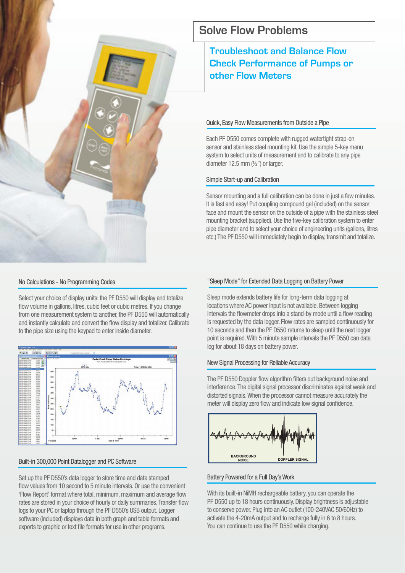

#### No Calculations - No Programming Codes

Select your choice of display units: the PF D550 will display and totalize flow volume in gallons, litres, cubic feet or cubic metres. If you change from one measurement system to another, the PF D550 will automatically and instantly calculate and convert the flow display and totalizer. Calibrate to the pipe size using the keypad to enter inside diameter.



#### Built-in 300,000 Point Datalogger and PC Software

Set up the PF D550's data logger to store time and date stamped flow values from 10 second to 5 minute intervals. Or use the convenient 'Flow Report' format where total, minimum, maximum and average flow rates are stored in your choice of hourly or daily summaries. Transfer flow logs to your PC or laptop through the PF D550's USB output. Logger software (included) displays data in both graph and table formats and exports to graphic or text file formats for use in other programs.

## **Solve Flow Problems**

## **Troubleshoot and Balance Flow Check Performance of Pumps or other Flow Meters**

#### Quick, Easy Flow Measurements from Outside a Pipe

Each PF D550 comes complete with rugged watertight strap-on sensor and stainless steel mounting kit. Use the simple 5-key menu system to select units of measurement and to calibrate to any pipe diameter 12.5 mm  $(\frac{1}{2})$  or larger.

#### Simple Start-up and Calibration

Sensor mounting and a full calibration can be done in just a few minutes. It is fast and easy! Put coupling compound gel (included) on the sensor face and mount the sensor on the outside of a pipe with the stainless steel mounting bracket (supplied). Use the five-key calibration system to enter pipe diameter and to select your choice of engineering units (gallons, litres etc.) The PF D550 will immediately begin to display, transmit and totalize.

#### "Sleep Mode" for Extended Data Logging on Battery Power

Sleep mode extends battery life for long-term data logging at locations where AC power input is not available. Between logging intervals the flowmeter drops into a stand-by mode until a flow reading is requested by the data logger. Flow rates are sampled continuously for 10 seconds and then the PF D550 returns to sleep until the next logger point is required. With 5 minute sample intervals the PF D550 can data log for about 18 days on battery power.

#### New Signal Processing for Reliable Accuracy

The PF D550 Doppler flow algorithm filters out background noise and interference. The digital signal processor discriminates against weak and distorted signals. When the processor cannot measure accurately the meter will display zero flow and indicate low signal confidence.



#### Battery Powered for a Full Day's Work

With its built-in NiMH rechargeable battery, you can operate the PF D550 up to 18 hours continuously. Display brightness is adjustable to conserve power. Plug into an AC outlet (100-240VAC 50/60Hz) to activate the 4-20mA output and to recharge fully in 6 to 8 hours. You can continue to use the PF D550 while charging.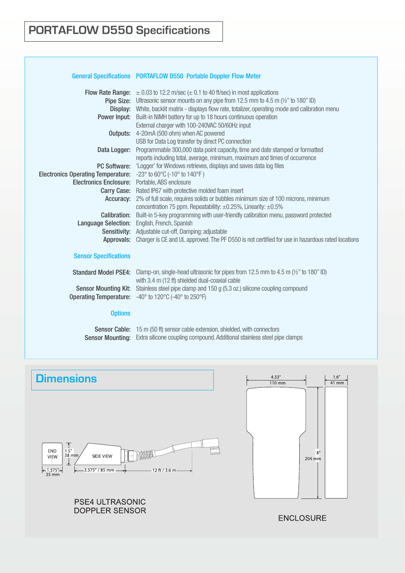#### General Specifications PORTAFLOW D550 Portable Doppler Flow Meter

|                                           | <b>Flow Rate Range:</b> $\pm 0.03$ to 12.2 m/sec ( $\pm 0.1$ to 40 ft/sec) in most applications                     |
|-------------------------------------------|---------------------------------------------------------------------------------------------------------------------|
|                                           | <b>Pipe Size:</b> Ultrasonic sensor mounts on any pipe from 12.5 mm to 4.5 m $\left(\frac{1}{2}\right)$ to 180" ID) |
|                                           | Display: White, backlit matrix - displays flow rate, totalizer, operating mode and calibration menu                 |
|                                           | <b>Power Input:</b> Built-in NiMH battery for up to 18 hours continuous operation                                   |
|                                           | External charger with 100-240VAC 50/60Hz input                                                                      |
| Outputs:                                  | 4-20mA (500 ohm) when AC powered                                                                                    |
|                                           | USB for Data Log transfer by direct PC connection                                                                   |
| Data Logger:                              | Programmable 300,000 data point capacity, time and date stamped or formatted                                        |
|                                           | reports including total, average, minimum, maximum and times of occurrence                                          |
|                                           | PC Software: 'Logger' for Windows retrieves, displays and saves data log files                                      |
| <b>Electronics Operating Temperature:</b> | $-23^{\circ}$ to 60 $^{\circ}$ C (-10 $^{\circ}$ to 140 $^{\circ}$ F)                                               |
| <b>Electronics Enclosure:</b>             | Portable, ABS enclosure                                                                                             |
| Carry Case:                               | Rated IP67 with protective molded foam insert                                                                       |
| Accuracy:                                 | 2% of full scale, requires solids or bubbles minimum size of 100 microns, minimum                                   |
|                                           | concentration 75 ppm. Repeatability: $\pm 0.25\%$ , Linearity: $\pm 0.5\%$                                          |
| Calibration:                              | Built-in 5-key programming with user-friendly calibration menu, password protected                                  |
| <b>Language Selection:</b>                | English, French, Spanish                                                                                            |
|                                           | Sensitivity: Adjustable cut-off, Damping: adjustable                                                                |
| Approvals:                                | Charger is CE and UL approved. The PF D550 is not certified for use in hazardous rated locations                    |
|                                           |                                                                                                                     |
| <b>Sensor Specifications</b>              |                                                                                                                     |
|                                           | Standard Model PSE4: Clamp-on, single-head ultrasonic for pipes from 12.5 mm to 4.5 m (1/2" to 180" ID)             |
|                                           | with 3.4 m (12 ft) shielded dual-coaxial cable                                                                      |
| <b>Sensor Mounting Kit:</b>               | Stainless steel pipe clamp and 150 g (5.3 oz.) silicone coupling compound                                           |
| <b>Operating Temperature:</b>             | -40 $\degree$ to 120 $\degree$ C (-40 $\degree$ to 250 $\degree$ F)                                                 |
|                                           |                                                                                                                     |
| <b>Options</b>                            |                                                                                                                     |
|                                           |                                                                                                                     |

Sensor Cable: 15 m (50 ft) sensor cable extension, shielded, with connectors Sensor Mounting: Extra silicone coupling compound. Additional stainless steel pipe clamps